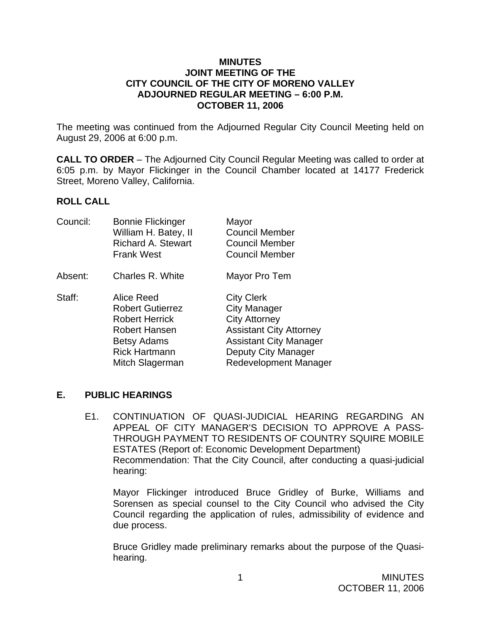#### **MINUTES JOINT MEETING OF THE CITY COUNCIL OF THE CITY OF MORENO VALLEY ADJOURNED REGULAR MEETING – 6:00 P.M. OCTOBER 11, 2006**

The meeting was continued from the Adjourned Regular City Council Meeting held on August 29, 2006 at 6:00 p.m.

**CALL TO ORDER** – The Adjourned City Council Regular Meeting was called to order at 6:05 p.m. by Mayor Flickinger in the Council Chamber located at 14177 Frederick Street, Moreno Valley, California.

### **ROLL CALL**

| Council: | <b>Bonnie Flickinger</b><br>William H. Batey, II<br><b>Richard A. Stewart</b><br><b>Frank West</b>                                                      | Mayor<br><b>Council Member</b><br><b>Council Member</b><br><b>Council Member</b>                                                                                             |
|----------|---------------------------------------------------------------------------------------------------------------------------------------------------------|------------------------------------------------------------------------------------------------------------------------------------------------------------------------------|
| Absent:  | Charles R. White                                                                                                                                        | Mayor Pro Tem                                                                                                                                                                |
| Staff:   | Alice Reed<br><b>Robert Gutierrez</b><br><b>Robert Herrick</b><br><b>Robert Hansen</b><br><b>Betsy Adams</b><br><b>Rick Hartmann</b><br>Mitch Slagerman | <b>City Clerk</b><br>City Manager<br><b>City Attorney</b><br><b>Assistant City Attorney</b><br><b>Assistant City Manager</b><br>Deputy City Manager<br>Redevelopment Manager |

## **E. PUBLIC HEARINGS**

E1. CONTINUATION OF QUASI-JUDICIAL HEARING REGARDING AN APPEAL OF CITY MANAGER'S DECISION TO APPROVE A PASS-THROUGH PAYMENT TO RESIDENTS OF COUNTRY SQUIRE MOBILE ESTATES (Report of: Economic Development Department) Recommendation: That the City Council, after conducting a quasi-judicial hearing:

Mayor Flickinger introduced Bruce Gridley of Burke, Williams and Sorensen as special counsel to the City Council who advised the City Council regarding the application of rules, admissibility of evidence and due process.

Bruce Gridley made preliminary remarks about the purpose of the Quasihearing.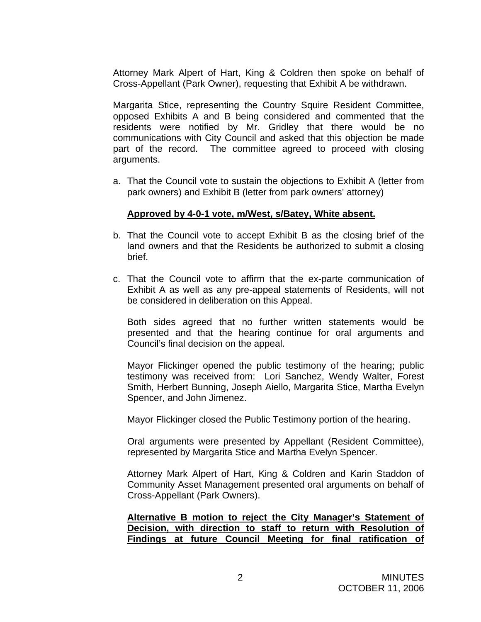Attorney Mark Alpert of Hart, King & Coldren then spoke on behalf of Cross-Appellant (Park Owner), requesting that Exhibit A be withdrawn.

Margarita Stice, representing the Country Squire Resident Committee, opposed Exhibits A and B being considered and commented that the residents were notified by Mr. Gridley that there would be no communications with City Council and asked that this objection be made part of the record. The committee agreed to proceed with closing arguments.

a. That the Council vote to sustain the objections to Exhibit A (letter from park owners) and Exhibit B (letter from park owners' attorney)

### **Approved by 4-0-1 vote, m/West, s/Batey, White absent.**

- b. That the Council vote to accept Exhibit B as the closing brief of the land owners and that the Residents be authorized to submit a closing brief.
- c. That the Council vote to affirm that the ex-parte communication of Exhibit A as well as any pre-appeal statements of Residents, will not be considered in deliberation on this Appeal.

 Both sides agreed that no further written statements would be presented and that the hearing continue for oral arguments and Council's final decision on the appeal.

Mayor Flickinger opened the public testimony of the hearing; public testimony was received from: Lori Sanchez, Wendy Walter, Forest Smith, Herbert Bunning, Joseph Aiello, Margarita Stice, Martha Evelyn Spencer, and John Jimenez.

Mayor Flickinger closed the Public Testimony portion of the hearing.

Oral arguments were presented by Appellant (Resident Committee), represented by Margarita Stice and Martha Evelyn Spencer.

Attorney Mark Alpert of Hart, King & Coldren and Karin Staddon of Community Asset Management presented oral arguments on behalf of Cross-Appellant (Park Owners).

**Alternative B motion to reject the City Manager's Statement of Decision, with direction to staff to return with Resolution of Findings at future Council Meeting for final ratification of**